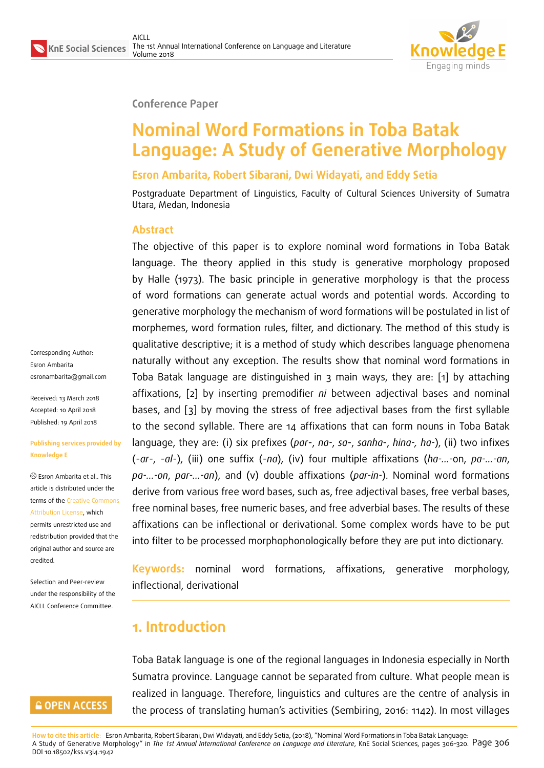

#### **Conference Paper**

# **Nominal Word Formations in Toba Batak Language: A Study of Generative Morphology**

#### **Esron Ambarita, Robert Sibarani, Dwi Widayati, and Eddy Setia**

Postgraduate Department of Linguistics, Faculty of Cultural Sciences University of Sumatra Utara, Medan, Indonesia

#### **Abstract**

The objective of this paper is to explore nominal word formations in Toba Batak language. The theory applied in this study is generative morphology proposed by Halle (1973). The basic principle in generative morphology is that the process of word formations can generate actual words and potential words. According to generative morphology the mechanism of word formations will be postulated in list of morphemes, word formation rules, filter, and dictionary. The method of this study is qualitative descriptive; it is a method of study which describes language phenomena naturally without any exception. The results show that nominal word formations in Toba Batak language are distinguished in 3 main ways, they are: [1] by attaching affixations, [2] by inserting premodifier *ni* between adjectival bases and nominal bases, and [3] by moving the stress of free adjectival bases from the first syllable to the second syllable. There are 14 affixations that can form nouns in Toba Batak language, they are: (i) six prefixes (*par*-, *na-*, *sa*-, *sanha*-, *hina-, ha-*), (ii) two infixes (-*ar*-, -*al*-), (iii) one suffix (-*na*), (iv) four multiple affixations (*ha-…-*on, *pa-…-an*, *pa-…-on*, *par-…-an*), and (v) double affixations (*par-in-*). Nominal word formations derive from various free word bases, such as, free adjectival bases, free verbal bases, free nominal bases, free numeric bases, and free adverbial bases. The results of these affixations can be inflectional or derivational. Some complex words have to be put into filter to be processed morphophonologically before they are put into dictionary.

**Keywords:** nominal word formations, affixations, generative morphology, inflectional, derivational

# **1. Introduction**

Toba Batak language is one of the regional languages in Indonesia especially in North Sumatra province. Language cannot be separated from culture. What people mean is realized in language. Therefore, linguistics and cultures are the centre of analysis in the process of translating human's activities (Sembiring, 2016: 1142). In most villages

Corresponding Author: Esron Ambarita esronambarita@gmail.com

Received: 13 March 2018 Accepted: 10 April 2018 [Published: 19 April 2018](mailto:esronambarita@gmail.com)

#### **Publishing services provided by Knowledge E**

Esron Ambarita et al.. This article is distributed under the terms of the Creative Commons Attribution License, which permits unrestricted use and redistribution provided that the original auth[or and source are](https://creativecommons.org/licenses/by/4.0/) [credited.](https://creativecommons.org/licenses/by/4.0/)

Selection and Peer-review under the responsibility of the AICLL Conference Committee.

### **GOPEN ACCESS**

**How to cite this article**: Esron Ambarita, Robert Sibarani, Dwi Widayati, and Eddy Setia, (2018), "Nominal Word Formations in Toba Batak Language: A Study of Generative Morphology" in *The 1st Annual International Conference on Language and Literature*, KnE Social Sciences, pages 306–320. Page 306 DOI 10.18502/kss.v3i4.1942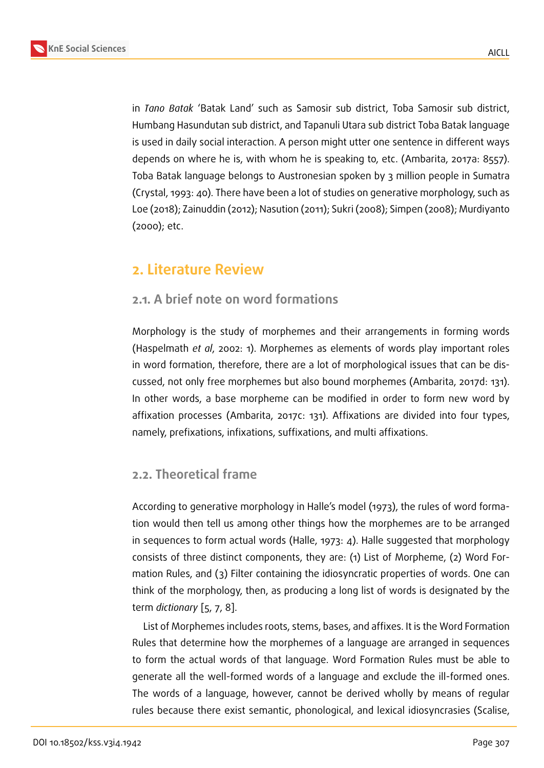in *Tano Batak* 'Batak Land' such as Samosir sub district, Toba Samosir sub district, Humbang Hasundutan sub district, and Tapanuli Utara sub district Toba Batak language is used in daily social interaction. A person might utter one sentence in different ways depends on where he is, with whom he is speaking to, etc. (Ambarita, 2017a: 8557). Toba Batak language belongs to Austronesian spoken by 3 million people in Sumatra (Crystal, 1993: 40). There have been a lot of studies on generative morphology, such as Loe (2018); Zainuddin (2012); Nasution (2011); Sukri (2008); Simpen (2008); Murdiyanto (2000); etc.

# **2. Literature Review**

### **2.1. A brief note on word formations**

Morphology is the study of morphemes and their arrangements in forming words (Haspelmath *et al*, 2002: 1). Morphemes as elements of words play important roles in word formation, therefore, there are a lot of morphological issues that can be discussed, not only free morphemes but also bound morphemes (Ambarita, 2017d: 131). In other words, a base morpheme can be modified in order to form new word by affixation processes (Ambarita, 2017c: 131). Affixations are divided into four types, namely, prefixations, infixations, suffixations, and multi affixations.

### **2.2. Theoretical frame**

According to generative morphology in Halle's model (1973), the rules of word formation would then tell us among other things how the morphemes are to be arranged in sequences to form actual words (Halle, 1973: 4). Halle suggested that morphology consists of three distinct components, they are: (1) List of Morpheme, (2) Word Formation Rules, and (3) Filter containing the idiosyncratic properties of words. One can think of the morphology, then, as producing a long list of words is designated by the term *dictionary* [5, 7, 8].

List of Morphemes includes roots, stems, bases, and affixes. It is the Word Formation Rules that determine how the morphemes of a language are arranged in sequences to form the act[ua](#page-13-0)[l](#page-13-1) [wo](#page-13-2)rds of that language. Word Formation Rules must be able to generate all the well-formed words of a language and exclude the ill-formed ones. The words of a language, however, cannot be derived wholly by means of regular rules because there exist semantic, phonological, and lexical idiosyncrasies (Scalise,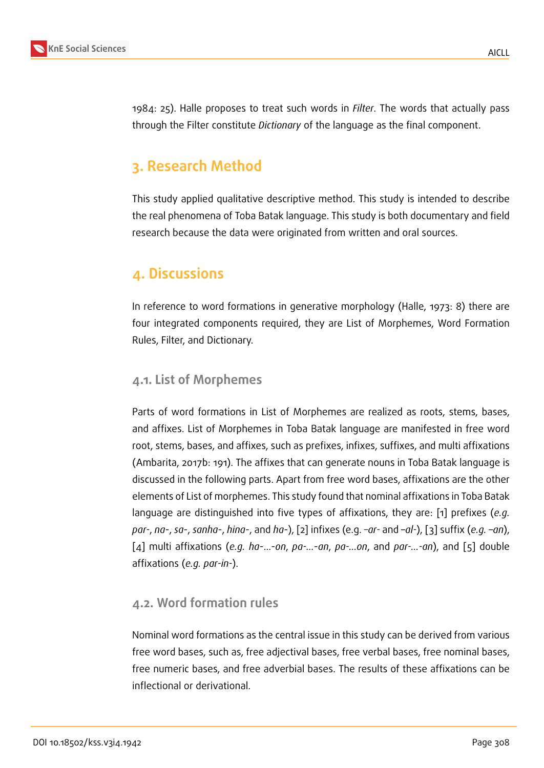

1984: 25). Halle proposes to treat such words in *Filter*. The words that actually pass through the Filter constitute *Dictionary* of the language as the final component.

# **3. Research Method**

This study applied qualitative descriptive method. This study is intended to describe the real phenomena of Toba Batak language. This study is both documentary and field research because the data were originated from written and oral sources.

# **4. Discussions**

In reference to word formations in generative morphology (Halle, 1973: 8) there are four integrated components required, they are List of Morphemes, Word Formation Rules, Filter, and Dictionary.

#### **4.1. List of Morphemes**

Parts of word formations in List of Morphemes are realized as roots, stems, bases, and affixes. List of Morphemes in Toba Batak language are manifested in free word root, stems, bases, and affixes, such as prefixes, infixes, suffixes, and multi affixations (Ambarita, 2017b: 191). The affixes that can generate nouns in Toba Batak language is discussed in the following parts. Apart from free word bases, affixations are the other elements of List of morphemes. This study found that nominal affixations in Toba Batak language are distinguished into five types of affixations, they are: [1] prefixes (*e.g. par-*, *na*-, *sa*-, *sanha*-, *hina*-, and *ha*-), [2] infixes (e.g. *–ar-* and –*al-*), [3] suffix (*e.g.* –*an*), [4] multi affixations (*e.g. ha*-…-*on*, *pa-…*-*an*, *pa-…on*, and *par-…-an*), and [5] double affixations (*e.g. par-in-*).

### **4.2. Word formation rules**

Nominal word formations as the central issue in this study can be derived from various free word bases, such as, free adjectival bases, free verbal bases, free nominal bases, free numeric bases, and free adverbial bases. The results of these affixations can be inflectional or derivational.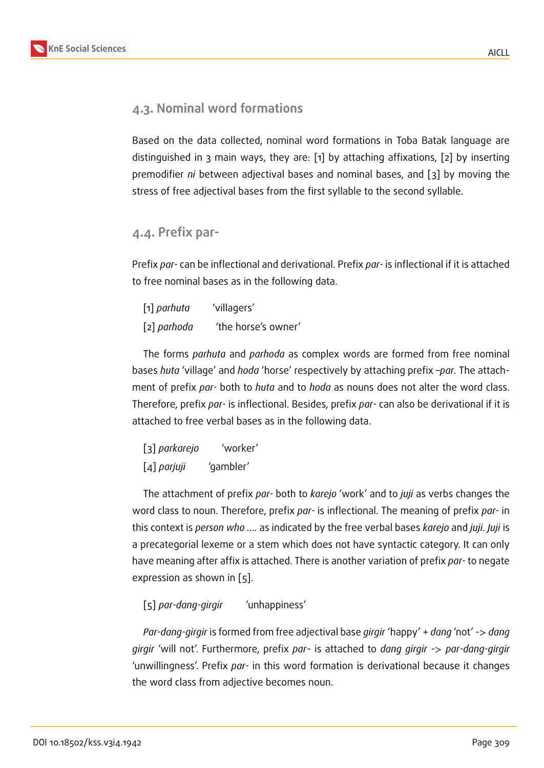### **4.3. Nominal word formations**

Based on the data collected, nominal word formations in Toba Batak language are distinguished in 3 main ways, they are: [1] by attaching affixations, [2] by inserting premodifier *ni* between adjectival bases and nominal bases, and [3] by moving the stress of free adjectival bases from the first syllable to the second syllable.

#### **4.4. Prefix par-**

Prefix *par-* can be inflectional and derivational. Prefix *par-* is inflectional if it is attached to free nominal bases as in the following data.

| [1] parhuta | 'villagers'         |
|-------------|---------------------|
| [2] parhoda | 'the horse's owner' |

The forms *parhuta* and *parhoda* as complex words are formed from free nominal bases *huta* 'village' and *hoda* 'horse' respectively by attaching prefix –*par.* The attachment of prefix *par-* both to *huta* and to *hoda* as nouns does not alter the word class. Therefore, prefix *par-* is inflectional. Besides, prefix *par-* can also be derivational if it is attached to free verbal bases as in the following data.

| [3] parkarejo | 'worker'  |
|---------------|-----------|
| $[4]$ parjuji | 'gambler' |

The attachment of prefix *par-* both to *karejo* 'work' and to *juji* as verbs changes the word class to noun. Therefore, prefix *par-* is inflectional. The meaning of prefix *par-* in this context is *person who ….* as indicated by the free verbal bases *karejo* and *juji*. *Juji* is a precategorial lexeme or a stem which does not have syntactic category. It can only have meaning after affix is attached. There is another variation of prefix *par-* to negate expression as shown in [5].

#### [5] *par-dang-girgir* 'unhappiness'

*Par-dang-girgir* is formed from free adjectival base *girgir* 'happy' + *dang* 'not' -> *dang girgir* 'will not'. Furthermore, prefix *par*- is attached to *dang girgir* -> *par-dang-girgir* 'unwillingness'. Prefix *par-* in this word formation is derivational because it changes the word class from adjective becomes noun.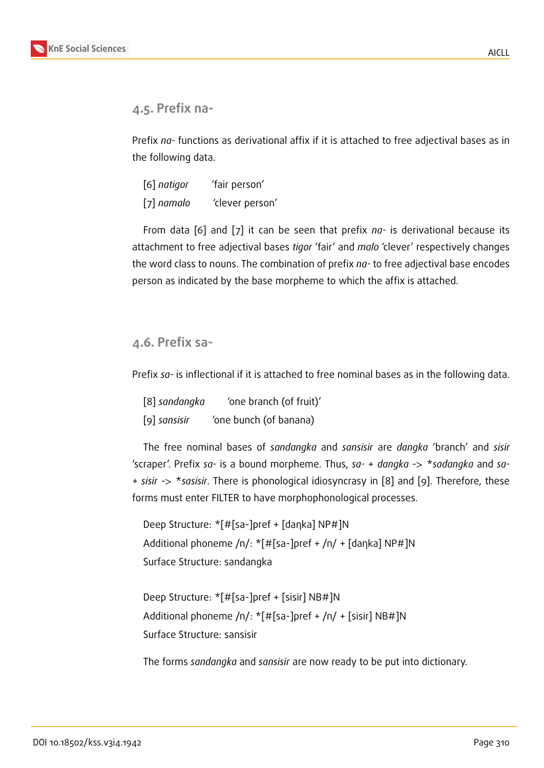### **4.5. Prefix na-**

Prefix *na-* functions as derivational affix if it is attached to free adjectival bases as in the following data.

| [6] natigor  | 'fair person'   |
|--------------|-----------------|
| $[7]$ namalo | 'clever person' |

From data [6] and [7] it can be seen that prefix *na-* is derivational because its attachment to free adjectival bases *tigor* 'fair' and *malo* 'clever' respectively changes the word class to nouns. The combination of prefix *na-* to free adjectival base encodes person as indicated by the base morpheme to which the affix is attached.

#### **4.6. Prefix sa-**

Prefix *sa-* is inflectional if it is attached to free nominal bases as in the following data.

| [8] sandangka | 'one branch (of fruit)' |  |  |
|---------------|-------------------------|--|--|
| [9] sansisir  | 'one bunch (of banana)  |  |  |

The free nominal bases of *sandangka* and *sansisir* are *dangka* 'branch' and *sisir* 'scraper'. Prefix *sa-* is a bound morpheme. Thus, *sa-* + *dangka* -> \**sadangka* and *sa-* + *sisir* -> \**sasisir*. There is phonological idiosyncrasy in [8] and [9]. Therefore, these forms must enter FILTER to have morphophonological processes.

Deep Structure: \*[#[sa-]pref + [daηka] NP#]N Additional phoneme /n/: \*[#[sa-]pref + /n/ + [daηka] NP#]N Surface Structure: sandangka

```
Deep Structure: *[#[sa-]pref + [sisir] NB#]N
Additional phoneme /n/: *[#[sa-]pref + /n/ + [sisir] NB#]N
Surface Structure: sansisir
```
The forms *sandangka* and *sansisir* are now ready to be put into dictionary.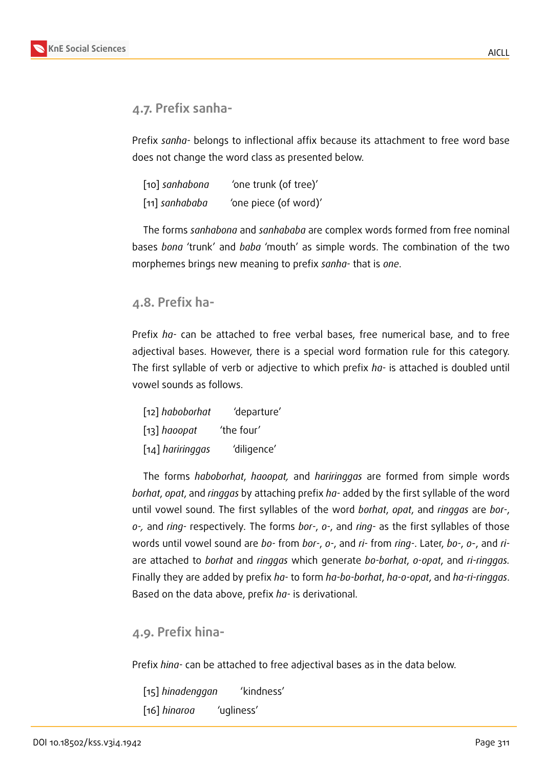### **4.7. Prefix sanha-**

Prefix *sanha-* belongs to inflectional affix because its attachment to free word base does not change the word class as presented below.

| [10] sanhabona | 'one trunk (of tree)' |
|----------------|-----------------------|
| [11] sanhababa | 'one piece (of word)' |

The forms *sanhabona* and *sanhababa* are complex words formed from free nominal bases *bona* 'trunk' and *baba* 'mouth' as simple words. The combination of the two morphemes brings new meaning to prefix *sanha-* that is *one*.

#### **4.8. Prefix ha-**

Prefix *ha-* can be attached to free verbal bases, free numerical base, and to free adjectival bases. However, there is a special word formation rule for this category. The first syllable of verb or adjective to which prefix *ha-* is attached is doubled until vowel sounds as follows.

| [12] haboborhat                | 'departure' |
|--------------------------------|-------------|
| $\lceil 13 \rceil$ haoopat     | 'the four'  |
| $\lceil 14 \rceil$ hariringgas | 'diligence' |

The forms *haboborhat*, *haoopat,* and *hariringgas* are formed from simple words *borhat*, *opat*, and *ringgas* by attaching prefix *ha-* added by the first syllable of the word until vowel sound. The first syllables of the word *borhat*, *opat*, and *ringgas* are *bor-*, *o-,* and *ring-* respectively*.* The forms *bor-*, *o-*, and *ring-* as the first syllables of those words until vowel sound are *bo-* from *bor-*, *o-*, and *ri-* from *ring-*. Later, *bo-*, *o*-, and *ri*are attached to *borhat* and *ringgas* which generate *bo-borhat*, *o-opat*, and *ri-ringgas.* Finally they are added by prefix *ha-* to form *ha-bo-borhat*, *ha-o-opat*, and *ha-ri-ringgas*. Based on the data above, prefix *ha-* is derivational.

#### **4.9. Prefix hina-**

Prefix *hina-* can be attached to free adjectival bases as in the data below.

[15] *hinadenggan* 'kindness' [16] *hinaroa* 'ugliness'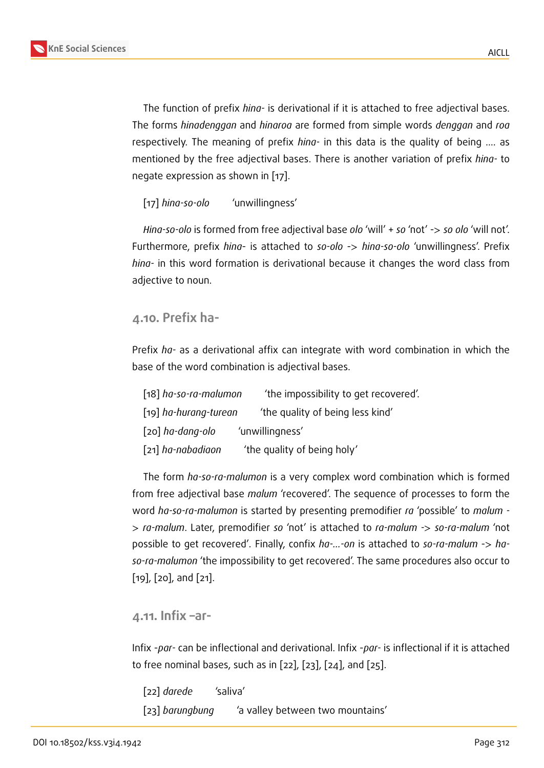The function of prefix *hina-* is derivational if it is attached to free adjectival bases. The forms *hinadenggan* and *hinaroa* are formed from simple words *denggan* and *roa* respectively. The meaning of prefix *hina-* in this data is the quality of being …. as mentioned by the free adjectival bases. There is another variation of prefix *hina-* to

[17] *hina-so-olo* 'unwillingness'

negate expression as shown in [17].

*Hina-so-olo* is formed from free adjectival base *olo* 'will' + *so* 'not' -> *so olo* 'will not'. Furthermore, prefix *hina*- is attached to *so-olo* -> *hina-so-olo* 'unwillingness'. Prefix *hina-* in this word formation is derivational because it changes the word class from adjective to noun.

#### **4.10. Prefix ha-**

Prefix *ha-* as a derivational affix can integrate with word combination in which the base of the word combination is adjectival bases.

| [18] ha-so-ra-malumon | 'the impossibility to get recovered'. |
|-----------------------|---------------------------------------|
| [19] ha-hurang-turean | 'the quality of being less kind'      |
| [20] ha-dang-olo      | 'unwillingness'                       |
| [21] ha-nabadiaon     | 'the quality of being holy'           |

The form *ha-so-ra-malumon* is a very complex word combination which is formed from free adjectival base *malum* 'recovered'. The sequence of processes to form the word *ha-so-ra-malumon* is started by presenting premodifier *ra* 'possible' to *malum -* > *ra-malum*. Later, premodifier *so* 'not' is attached to *ra-malum -*> *so-ra-malum* 'not possible to get recovered'*.* Finally, confix *ha-…-on* is attached to *so-ra-malum* -> *haso-ra-malumon* 'the impossibility to get recovered'. The same procedures also occur to [19], [20], and [21].

#### **4.11. Infix –ar-**

Infix -*par-* can be inflectional and derivational. Infix -*par-* is inflectional if it is attached to free nominal bases, such as in [22], [23], [24], and [25].

[22] *darede* 'saliva' [23] *barungbung* 'a valley between two mountains'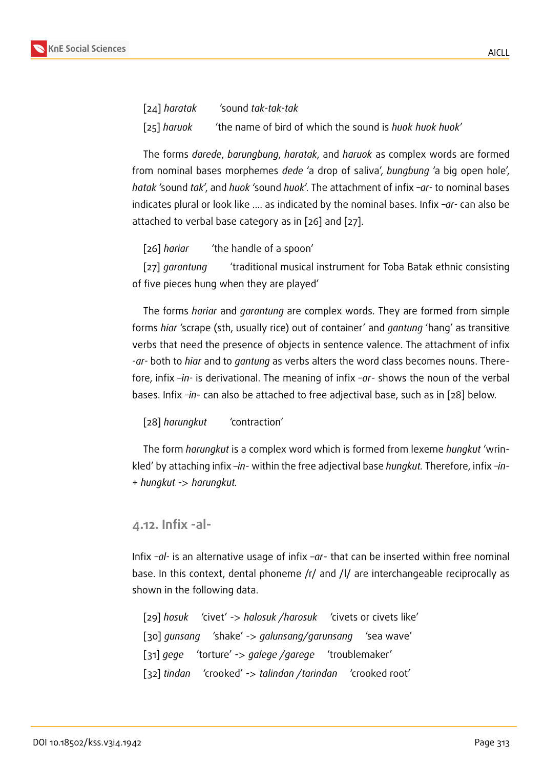

[24] *haratak* 'sound *tak-tak-tak* [25] *haruok* 'the name of bird of which the sound is *huok huok huok*'

The forms *darede*, *barungbung*, *haratak*, and *haruok* as complex words are formed from nominal bases morphemes *dede* 'a drop of saliva', *bungbung* 'a big open hole', *hatak* 'sound *tak*', and *huok* 'sound *huok*'. The attachment of infix *–ar-* to nominal bases indicates plural or look like …. as indicated by the nominal bases. Infix *–ar-* can also be attached to verbal base category as in [26] and [27].

[26] *hariar* 'the handle of a spoon'

[27] *garantung* 'traditional musical instrument for Toba Batak ethnic consisting of five pieces hung when they are played'

The forms *hariar* and *garantung* are complex words. They are formed from simple forms *hiar* 'scrape (sth, usually rice) out of container' and *gantung* 'hang' as transitive verbs that need the presence of objects in sentence valence. The attachment of infix *-ar-* both to *hiar* and to *gantung* as verbs alters the word class becomes nouns. Therefore, infix –*in-* is derivational. The meaning of infix *–ar*- shows the noun of the verbal bases. Infix *–in*- can also be attached to free adjectival base, such as in [28] below.

[28] *harungkut* 'contraction'

The form *harungkut* is a complex word which is formed from lexeme *hungkut* 'wrinkled' by attaching infix –*in*- within the free adjectival base *hungkut.* Therefore, infix *–in*- + *hungkut* -> *harungkut.*

#### **4.12. Infix -al-**

Infix *–al-* is an alternative usage of infix –*ar*- that can be inserted within free nominal base. In this context, dental phoneme /r/ and /l/ are interchangeable reciprocally as shown in the following data.

[29] *hosuk* 'civet' -> *halosuk /harosuk* 'civets or civets like' [30] *gunsang* 'shake' -> *galunsang/garunsang* 'sea wave' [31] *gege* 'torture' -> *galege /garege* 'troublemaker' [32] *tindan* 'crooked' -> *talindan /tarindan* 'crooked root'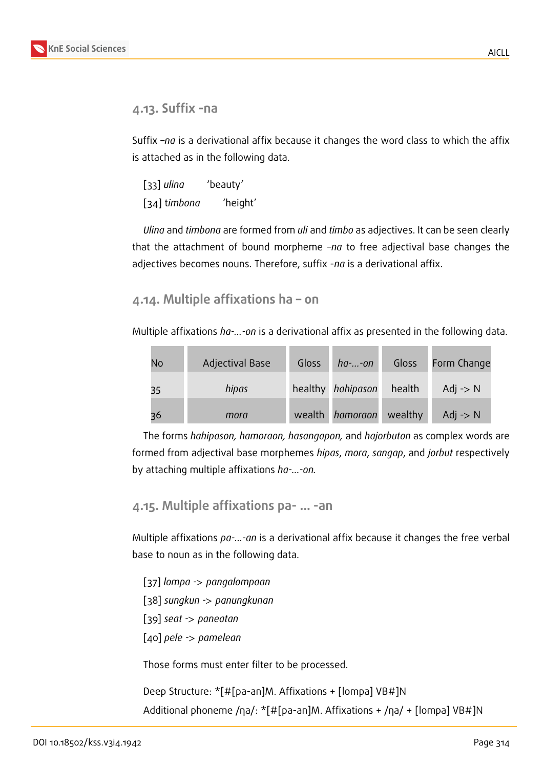### **4.13. Suffix -na**

Suffix –*na* is a derivational affix because it changes the word class to which the affix is attached as in the following data.

[33] *ulina* 'beauty' [34] t*imbona* 'height'

*Ulina* and *timbona* are formed from *uli* and *timbo* as adjectives. It can be seen clearly that the attachment of bound morpheme –*na* to free adjectival base changes the adjectives becomes nouns. Therefore, suffix -*na* is a derivational affix.

**4.14. Multiple affixations ha – on**

Multiple affixations *ha-…-on* is a derivational affix as presented in the following data.

| No | <b>Adjectival Base</b> | <b>Gloss</b> | $ha$ - $$ -on                  | Gloss  | Form Change         |
|----|------------------------|--------------|--------------------------------|--------|---------------------|
| 35 | hipas                  |              | healthy hahipason              | health | Adj $\rightarrow$ N |
| 36 | mora                   |              | wealth <i>hamoraon</i> wealthy |        | Adj $\rightarrow$ N |

The forms *hahipason, hamoraon, hasangapon,* and *hajorbuton* as complex words are formed from adjectival base morphemes *hipas*, *mora*, *sangap*, and *jorbut* respectively by attaching multiple affixations *ha-…-on.*

```
4.15. Multiple affixations pa- … -an
```
Multiple affixations *pa-…-an* is a derivational affix because it changes the free verbal base to noun as in the following data.

[37] *lompa -*> *pangalompaan* [38] *sungkun -*> *panungkunan* [39] *seat -*> *paneatan* [40] *pele -*> *pamelean*

Those forms must enter filter to be processed.

Deep Structure: \*[#[pa-an]M. Affixations + [lompa] VB#]N Additional phoneme /ηa/: \*[#[pa-an]M. Affixations + /ηa/ + [lompa] VB#]N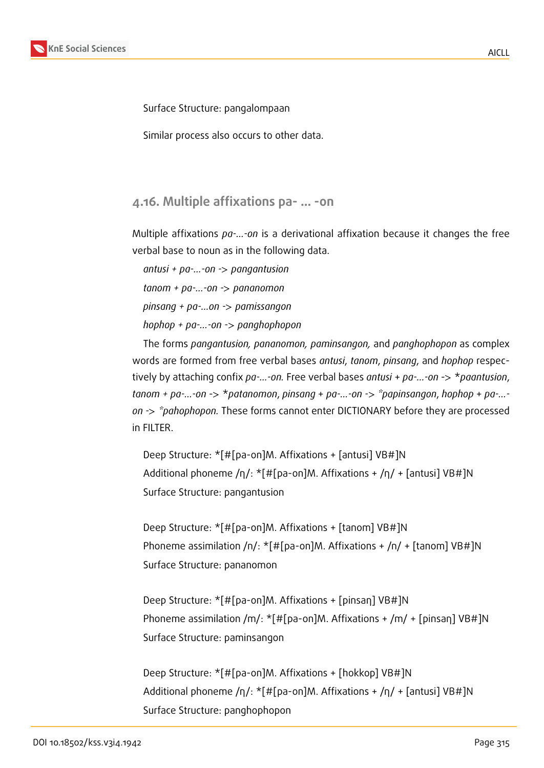

Surface Structure: pangalompaan

Similar process also occurs to other data.

**4.16. Multiple affixations pa- … -on**

Multiple affixations *pa-…-on* is a derivational affixation because it changes the free verbal base to noun as in the following data.

*antusi + pa-…-on -*> *pangantusion tanom + pa-...-on -*> *pananomon pinsang + pa-…on -*> *pamissangon*

*hophop + pa-…-on -*> *panghophopon*

The forms *pangantusion, pananomon, paminsangon,* and *panghophopon* as complex words are formed from free verbal bases *antusi*, *tanom*, *pinsang*, and *hophop* respectively by attaching confix *pa-…-on.* Free verbal bases *antusi* + *pa-…-on* -> \**paantusion*, *tanom + pa-…-on* -> \**patanomon*, *pinsang* + *pa-…-on -*> *\*papinsangon*, *hophop* + *pa-… on -*> *\*pahophopon.* These forms cannot enter DICTIONARY before they are processed in FILTER.

Deep Structure: \*[#[pa-on]M. Affixations + [antusi] VB#]N Additional phoneme /η/: \*[#[pa-on]M. Affixations + /η/ + [antusi] VB#]N Surface Structure: pangantusion

Deep Structure: \*[#[pa-on]M. Affixations + [tanom] VB#]N Phoneme assimilation /n/: \*[#[pa-on]M. Affixations + /n/ + [tanom] VB#]N Surface Structure: pananomon

Deep Structure: \*[#[pa-on]M. Affixations + [pinsaη] VB#]N Phoneme assimilation /m/: \*[#[pa-on]M. Affixations + /m/ + [pinsaη] VB#]N Surface Structure: paminsangon

Deep Structure: \*[#[pa-on]M. Affixations + [hokkop] VB#]N Additional phoneme /η/: \*[#[pa-on]M. Affixations + /η/ + [antusi] VB#]N Surface Structure: panghophopon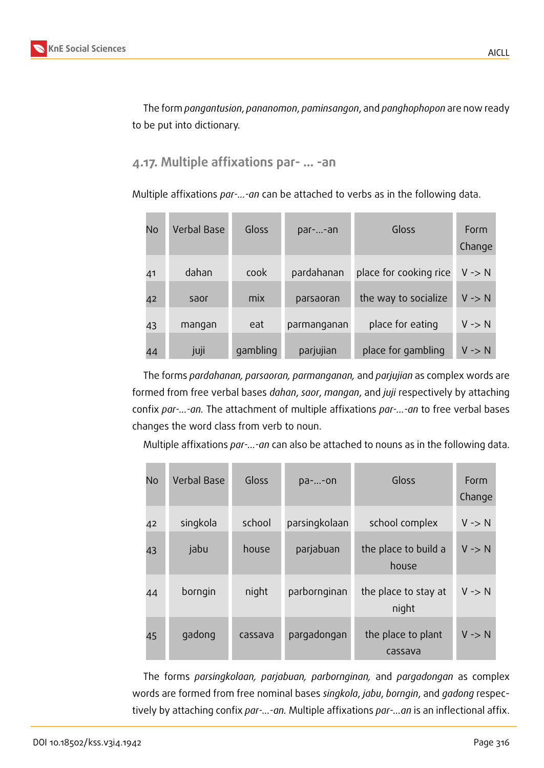The form *pangantusion*, *pananomon*, *paminsangon*, and *panghophopon* are now ready to be put into dictionary.

#### **4.17. Multiple affixations par- … -an**

Multiple affixations *par-…-an* can be attached to verbs as in the following data.

| No | <b>Verbal Base</b> | Gloss    | par--an     | Gloss                  | Form<br>Change    |
|----|--------------------|----------|-------------|------------------------|-------------------|
| 41 | dahan              | cook     | pardahanan  | place for cooking rice | $V \rightarrow N$ |
| 42 | saor               | mix      | parsaoran   | the way to socialize   | $V \rightarrow N$ |
| 43 | mangan             | eat      | parmanganan | place for eating       | $V \rightarrow N$ |
| 44 | juji               | gambling | parjujian   | place for gambling     | $V \rightarrow N$ |

The forms *pardahanan, parsaoran, parmanganan,* and *parjujian* as complex words are formed from free verbal bases *dahan*, *saor*, *mangan*, and *juji* respectively by attaching confix *par-…-an.* The attachment of multiple affixations *par-…-an* to free verbal bases changes the word class from verb to noun.

Multiple affixations *par-…-an* can also be attached to nouns as in the following data.

| <b>No</b> | <b>Verbal Base</b> | Gloss   | pa--on        | Gloss                         | Form<br>Change    |
|-----------|--------------------|---------|---------------|-------------------------------|-------------------|
| 42        | singkola           | school  | parsingkolaan | school complex                | $V \rightarrow N$ |
| 43        | jabu               | house   | parjabuan     | the place to build a<br>house | $V \rightarrow N$ |
| 44        | borngin            | night   | parbornginan  | the place to stay at<br>night | $V \rightarrow N$ |
| 45        | qadong             | cassava | pargadongan   | the place to plant<br>cassava | $V \rightarrow N$ |

The forms *parsingkolaan, parjabuan, parbornginan,* and *pargadongan* as complex words are formed from free nominal bases *singkola*, *jabu*, *borngin*, and *gadong* respectively by attaching confix *par-…-an.* Multiple affixations *par-…an* is an inflectional affix.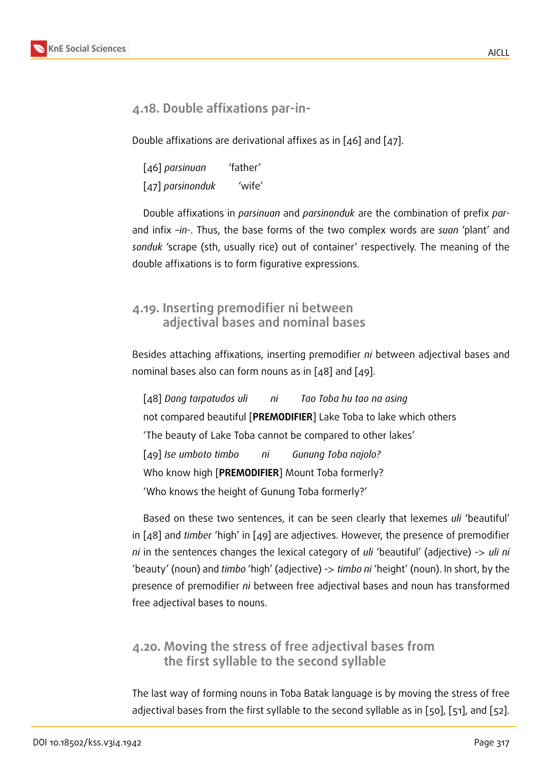

### **4.18. Double affixations par-in-**

Double affixations are derivational affixes as in [46] and [47].

[46] *parsinuan* 'father' [47] *parsinonduk* 'wife'

Double affixations in *parsinuan* and *parsinonduk* are the combination of prefix *par*and infix –*in-*. Thus, the base forms of the two complex words are *suan* 'plant' and *sonduk* 'scrape (sth, usually rice) out of container' respectively. The meaning of the double affixations is to form figurative expressions.

### **4.19. Inserting premodifier ni between adjectival bases and nominal bases**

Besides attaching affixations, inserting premodifier *ni* between adjectival bases and nominal bases also can form nouns as in [48] and [49].

[48] *Dang tarpatudos uli ni Tao Toba hu tao na asing* not compared beautiful [**PREMODIFIER**] Lake Toba to lake which others 'The beauty of Lake Toba cannot be compared to other lakes' [49] *Ise umboto timbo ni Gunung Toba najolo?* Who know high [**PREMODIFIER**] Mount Toba formerly? 'Who knows the height of Gunung Toba formerly?'

Based on these two sentences, it can be seen clearly that lexemes *uli* 'beautiful' in [48] and *timber* 'high' in [49] are adjectives. However, the presence of premodifier *ni* in the sentences changes the lexical category of *uli* 'beautiful' (adjective) -> *uli ni* 'beauty' (noun) and *timbo* 'high' (adjective) -> *timbo ni* 'height' (noun). In short, by the presence of premodifier *ni* between free adjectival bases and noun has transformed free adjectival bases to nouns.

### **4.20. Moving the stress of free adjectival bases from the first syllable to the second syllable**

The last way of forming nouns in Toba Batak language is by moving the stress of free adjectival bases from the first syllable to the second syllable as in [50], [51], and [52].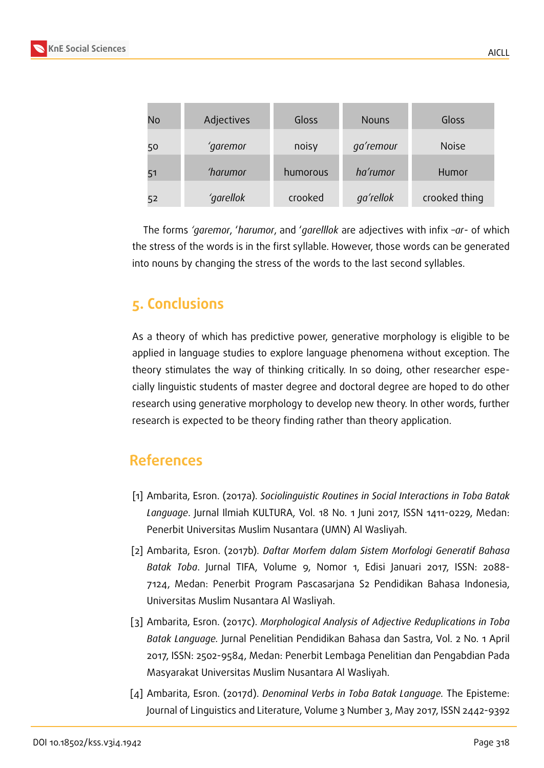

The forms *'garemor*, '*harumor*, and '*garelllok* are adjectives with infix *–ar*- of which the stress of the words is in the first syllable. However, those words can be generated into nouns by changing the stress of the words to the last second syllables.

# **5. Conclusions**

As a theory of which has predictive power, generative morphology is eligible to be applied in language studies to explore language phenomena without exception. The theory stimulates the way of thinking critically. In so doing, other researcher especially linguistic students of master degree and doctoral degree are hoped to do other research using generative morphology to develop new theory. In other words, further research is expected to be theory finding rather than theory application.

# **References**

- [1] Ambarita, Esron. (2017a). *Sociolinguistic Routines in Social Interactions in Toba Batak Language*. Jurnal Ilmiah KULTURA, Vol. 18 No. 1 Juni 2017, ISSN 1411-0229, Medan: Penerbit Universitas Muslim Nusantara (UMN) Al Wasliyah.
- [2] Ambarita, Esron. (2017b). *Daftar Morfem dalam Sistem Morfologi Generatif Bahasa Batak Toba*. Jurnal TIFA, Volume 9, Nomor 1, Edisi Januari 2017, ISSN: 2088- 7124, Medan: Penerbit Program Pascasarjana S2 Pendidikan Bahasa Indonesia, Universitas Muslim Nusantara Al Wasliyah.
- [3] Ambarita, Esron. (2017c). *Morphological Analysis of Adjective Reduplications in Toba Batak Language.* Jurnal Penelitian Pendidikan Bahasa dan Sastra, Vol. 2 No. 1 April 2017, ISSN: 2502-9584, Medan: Penerbit Lembaga Penelitian dan Pengabdian Pada Masyarakat Universitas Muslim Nusantara Al Wasliyah.
- [4] Ambarita, Esron. (2017d). *Denominal Verbs in Toba Batak Language.* The Episteme: Journal of Linguistics and Literature, Volume 3 Number 3, May 2017, ISSN 2442-9392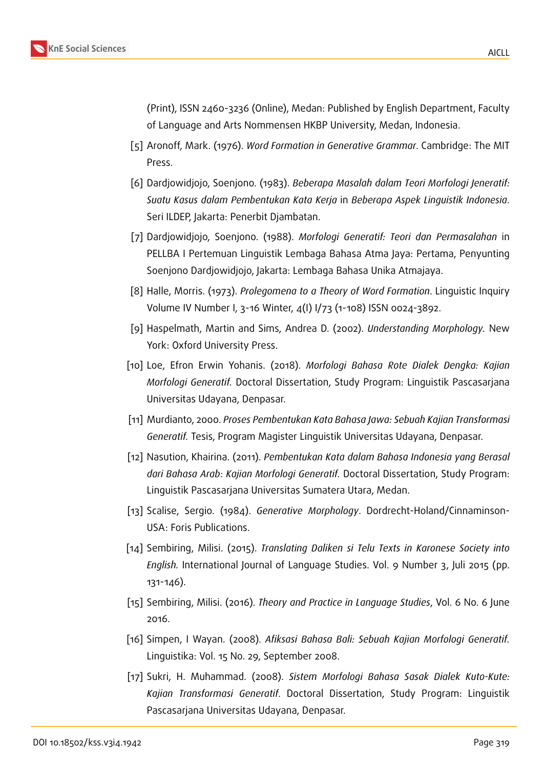

(Print), ISSN 2460-3236 (Online), Medan: Published by English Department, Faculty of Language and Arts Nommensen HKBP University, Medan, Indonesia.

- <span id="page-13-0"></span>[5] Aronoff, Mark. (1976). *Word Formation in Generative Grammar*. Cambridge: The MIT Press.
- [6] Dardjowidjojo, Soenjono. (1983). *Beberapa Masalah dalam Teori Morfologi Jeneratif: Suatu Kasus dalam Pembentukan Kata Kerja* in *Beberapa Aspek Linguistik Indonesia*. Seri ILDEP, Jakarta: Penerbit Djambatan.
- <span id="page-13-1"></span>[7] Dardjowidjojo, Soenjono. (1988). *Morfologi Generatif: Teori dan Permasalahan* in PELLBA I Pertemuan Linguistik Lembaga Bahasa Atma Jaya: Pertama, Penyunting Soenjono Dardjowidjojo, Jakarta: Lembaga Bahasa Unika Atmajaya.
- <span id="page-13-2"></span>[8] Halle, Morris. (1973). *Prolegomena to a Theory of Word Formation*. Linguistic Inquiry Volume IV Number I, 3-16 Winter, 4(I) I/73 (1-108) ISSN 0024-3892.
- [9] Haspelmath, Martin and Sims, Andrea D. (2002). *Understanding Morphology.* New York: Oxford University Press.
- [10] Loe, Efron Erwin Yohanis. (2018). *Morfologi Bahasa Rote Dialek Dengka: Kajian Morfologi Generatif.* Doctoral Dissertation, Study Program: Linguistik Pascasarjana Universitas Udayana, Denpasar.
- [11] Murdianto, 2000. *Proses Pembentukan Kata Bahasa Jawa: Sebuah Kajian Transformasi Generatif.* Tesis, Program Magister Linguistik Universitas Udayana, Denpasar.
- [12] Nasution, Khairina. (2011). *Pembentukan Kata dalam Bahasa Indonesia yang Berasal dari Bahasa Arab*: *Kajian Morfologi Generatif.* Doctoral Dissertation, Study Program: Linguistik Pascasarjana Universitas Sumatera Utara, Medan.
- [13] Scalise, Sergio. (1984). *Generative Morphology*. Dordrecht-Holand/Cinnaminson-USA: Foris Publications.
- [14] Sembiring, Milisi. (2015). *Translating Daliken si Telu Texts in Karonese Society into English.* International Journal of Language Studies. Vol. 9 Number 3, Juli 2015 (pp. 131-146).
- [15] Sembiring, Milisi. (2016). *Theory and Practice in Language Studies*, Vol. 6 No. 6 June 2016.
- [16] Simpen, I Wayan. (2008). *Afiksasi Bahasa Bali: Sebuah Kajian Morfologi Generatif.* Linguistika: Vol. 15 No. 29, September 2008.
- [17] Sukri, H. Muhammad. (2008). *Sistem Morfologi Bahasa Sasak Dialek Kuto-Kute: Kajian Transformasi Generatif*. Doctoral Dissertation, Study Program: Linguistik Pascasarjana Universitas Udayana, Denpasar.